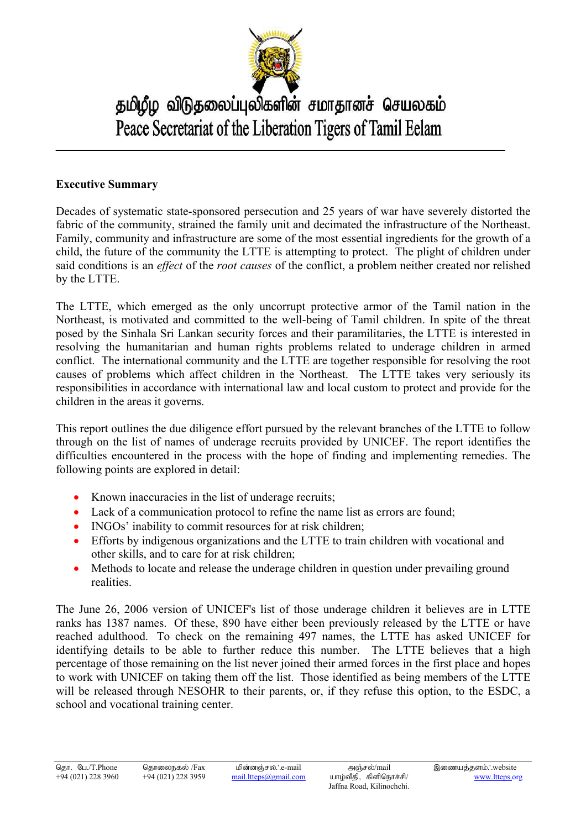

## தமிழீழ விடுதலைப்புலிகளின் சமாதானச் செயலகம் Peace Secretariat of the Liberation Tigers of Tamil Eelam

## **Executive Summary**

Decades of systematic state-sponsored persecution and 25 years of war have severely distorted the fabric of the community, strained the family unit and decimated the infrastructure of the Northeast. Family, community and infrastructure are some of the most essential ingredients for the growth of a child, the future of the community the LTTE is attempting to protect. The plight of children under said conditions is an *effect* of the *root causes* of the conflict, a problem neither created nor relished by the LTTE.

The LTTE, which emerged as the only uncorrupt protective armor of the Tamil nation in the Northeast, is motivated and committed to the well-being of Tamil children. In spite of the threat posed by the Sinhala Sri Lankan security forces and their paramilitaries, the LTTE is interested in resolving the humanitarian and human rights problems related to underage children in armed conflict. The international community and the LTTE are together responsible for resolving the root causes of problems which affect children in the Northeast. The LTTE takes very seriously its responsibilities in accordance with international law and local custom to protect and provide for the children in the areas it governs.

This report outlines the due diligence effort pursued by the relevant branches of the LTTE to follow through on the list of names of underage recruits provided by UNICEF. The report identifies the difficulties encountered in the process with the hope of finding and implementing remedies. The following points are explored in detail:

- Known inaccuracies in the list of underage recruits;
- Lack of a communication protocol to refine the name list as errors are found;
- INGOs' inability to commit resources for at risk children;
- Efforts by indigenous organizations and the LTTE to train children with vocational and other skills, and to care for at risk children;
- Methods to locate and release the underage children in question under prevailing ground realities.

The June 26, 2006 version of UNICEF's list of those underage children it believes are in LTTE ranks has 1387 names. Of these, 890 have either been previously released by the LTTE or have reached adulthood. To check on the remaining 497 names, the LTTE has asked UNICEF for identifying details to be able to further reduce this number. The LTTE believes that a high percentage of those remaining on the list never joined their armed forces in the first place and hopes to work with UNICEF on taking them off the list. Those identified as being members of the LTTE will be released through NESOHR to their parents, or, if they refuse this option, to the ESDC, a school and vocational training center.